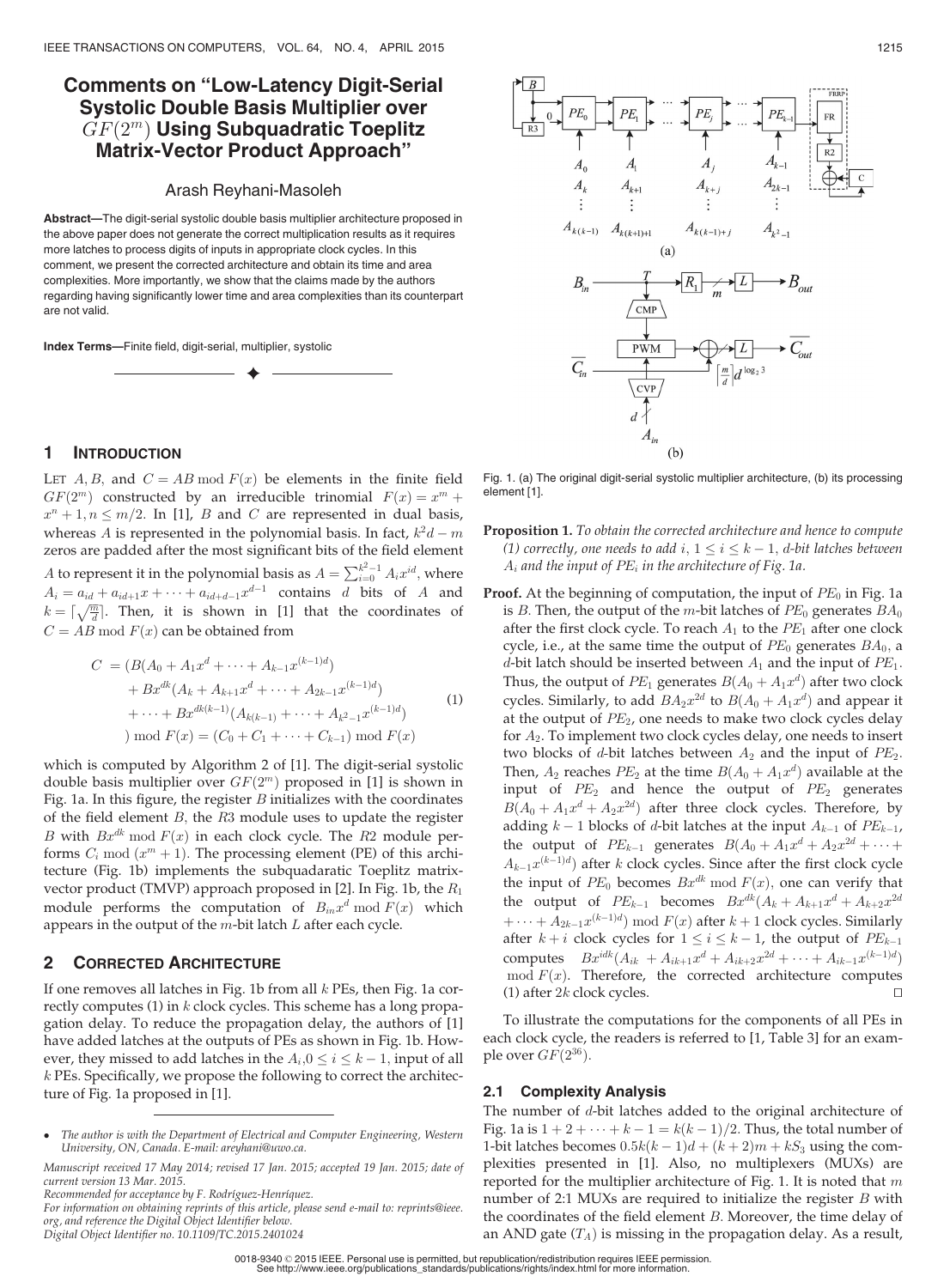# Comments on "Low-Latency Digit-Serial Systolic Double Basis Multiplier over  $GF(2^m)$  Using Subquadratic Toeplitz Matrix-Vector Product Approach"

#### Arash Reyhani-Masoleh

Abstract—The digit-serial systolic double basis multiplier architecture proposed in the above paper does not generate the correct multiplication results as it requires more latches to process digits of inputs in appropriate clock cycles. In this comment, we present the corrected architecture and obtain its time and area complexities. More importantly, we show that the claims made by the authors regarding having significantly lower time and area complexities than its counterpart are not valid.

 $\blacklozenge$ 

Index Terms—Finite field, digit-serial, multiplier, systolic

### 1 INTRODUCTION

LET A, B, and  $C = AB \mod F(x)$  be elements in the finite field  $GF(2^m)$  constructed by an irreducible trinomial  $F(x) = x^m +$  $x^n + 1, n \leq m/2$ . In [1], *B* and *C* are represented in dual basis, whereas A is represented in the polynomial basis. In fact,  $k^2d - m$ zeros are padded after the most significant bits of the field element *A* to represent it in the polynomial basis as  $A = \sum_{i=0}^{k^2-1} A_i x^{id}$ , where  $A_i = a_{id} + a_{id+1}x + \cdots + a_{id+d-1}x^{d-1}$  contains d bits of A and  $k = \lceil \sqrt{\frac{m}{d}} \rceil$ . Then, it is shown in [1] that the coordinates of  $C = AB \mod F(x)$  can be obtained from

$$
C = (B(A_0 + A_1 x^d + \dots + A_{k-1} x^{(k-1)d})
$$
  
+ 
$$
Bx^{dk}(A_k + A_{k+1} x^d + \dots + A_{2k-1} x^{(k-1)d})
$$
  
+ 
$$
\dots + Bx^{dk(k-1)}(A_{k(k-1)} + \dots + A_{k^2-1} x^{(k-1)d})
$$
  
) mod  $F(x) = (C_0 + C_1 + \dots + C_{k-1}) \text{ mod } F(x)$  (1)

which is computed by Algorithm 2 of [1]. The digit-serial systolic double basis multiplier over  $GF(2<sup>m</sup>)$  proposed in [1] is shown in Fig. 1a. In this figure, the register  $B$  initializes with the coordinates of the field element  $B$ , the  $R3$  module uses to update the register B with  $Bx^{dk} \mod F(x)$  in each clock cycle. The R2 module performs  $C_i$  mod  $(x^m + 1)$ . The processing element (PE) of this architecture (Fig. 1b) implements the subquadaratic Toeplitz matrixvector product (TMVP) approach proposed in [2]. In Fig. 1b, the  $R_1$ module performs the computation of  $B_{in}x^d \bmod F(x)$  which appears in the output of the  $m$ -bit latch  $L$  after each cycle.

#### 2 CORRECTED ARCHITECTURE

If one removes all latches in Fig. 1b from all  $k$  PEs, then Fig. 1a correctly computes  $(1)$  in  $k$  clock cycles. This scheme has a long propagation delay. To reduce the propagation delay, the authors of [1] have added latches at the outputs of PEs as shown in Fig. 1b. However, they missed to add latches in the  $A_i$ ,  $0 \le i \le k - 1$ , input of all k PEs. Specifically, we propose the following to correct the architecture of Fig. 1a proposed in [1].

For information on obtaining reprints of this article, please send e-mail to: reprints@ieee. org, and reference the Digital Object Identifier below. Digital Object Identifier no. 10.1109/TC.2015.2401024



# 2.1 Complexity Analysis

The number of d-bit latches added to the original architecture of Fig. 1a is  $1 + 2 + \cdots + k - 1 = k(k - 1)/2$ . Thus, the total number of 1-bit latches becomes  $0.5k(k-1)d + (k+2)m + kS_3$  using the complexities presented in [1]. Also, no multiplexers (MUXs) are reported for the multiplier architecture of Fig. 1. It is noted that  $m$ number of 2:1 MUXs are required to initialize the register  $B$  with the coordinates of the field element B: Moreover, the time delay of an AND gate  $(T_A)$  is missing in the propagation delay. As a result,



Fig. 1. (a) The original digit-serial systolic multiplier architecture, (b) its processing element [1].

 $(h)$ 

- **Proposition 1.** To obtain the corrected architecture and hence to compute (1) correctly, one needs to add  $i, 1 \leq i \leq k - 1$ , d-bit latches between  $A_i$  and the input of  $PE_i$  in the architecture of Fig. 1a.
- **Proof.** At the beginning of computation, the input of  $PE_0$  in Fig. 1a is B. Then, the output of the m-bit latches of  $PE_0$  generates  $BA_0$ after the first clock cycle. To reach  $A_1$  to the  $PE_1$  after one clock cycle, i.e., at the same time the output of  $PE_0$  generates  $BA_0$ , a d-bit latch should be inserted between  $A_1$  and the input of  $PE_1$ . Thus, the output of  $PE_1$  generates  $B(A_0 + A_1x^d)$  after two clock cycles. Similarly, to add  $BA_2x^{2d}$  to  $B(A_0 + A_1x^d)$  and appear it at the output of  $PE<sub>2</sub>$ , one needs to make two clock cycles delay for  $A_2$ . To implement two clock cycles delay, one needs to insert two blocks of d-bit latches between  $A_2$  and the input of  $PE_2$ . Then,  $A_2$  reaches  $PE_2$  at the time  $B(A_0 + A_1x^d)$  available at the input of  $PE<sub>2</sub>$  and hence the output of  $PE<sub>2</sub>$  generates  $B(A_0 + A_1x^d + A_2x^{2d})$  after three clock cycles. Therefore, by adding  $k-1$  blocks of d-bit latches at the input  $A_{k-1}$  of  $PE_{k-1}$ , the output of  $PE_{k-1}$  generates  $B(A_0 + A_1x^d + A_2x^{2d} + \cdots +$  $A_{k-1}x^{(k-1)d}$  after k clock cycles. Since after the first clock cycle the input of  $PE_0$  becomes  $Bx^{dk} \bmod F(x)$ , one can verify that the output of  $PE_{k-1}$  becomes  $Bx^{dk}(A_k + A_{k+1}x^d + A_{k+2}x^{2d})$  $+\cdots+A_{2k-1}x^{(k-1)d})\bmod F(x)$ after  $k+1$  clock cycles. Similarly after  $k + i$  clock cycles for  $1 \le i \le k - 1$ , the output of  $PE_{k-1}$ computes  $Bx^{idk}(A_{ik} + A_{ik+1}x^d + A_{ik+2}x^{2d} + \cdots + A_{ik-1}x^{(k-1)d})$ mod  $F(x)$ . Therefore, the corrected architecture computes

The author is with the Department of Electrical and Computer Engineering, Western University, ON, Canada. E-mail: areyhani@uwo.ca.

Manuscript received 17 May 2014; revised 17 Jan. 2015; accepted 19 Jan. 2015; date of current version 13 Mar. 2015.

Recommended for acceptance by F. Rodríguez-Henríquez.

<sup>0018-9340</sup> 2015 IEEE. Personal use is permitted, but republication/redistribution requires IEEE permission. See http://www.ieee.org/publications\_standards/publications/rights/index.html for more information.